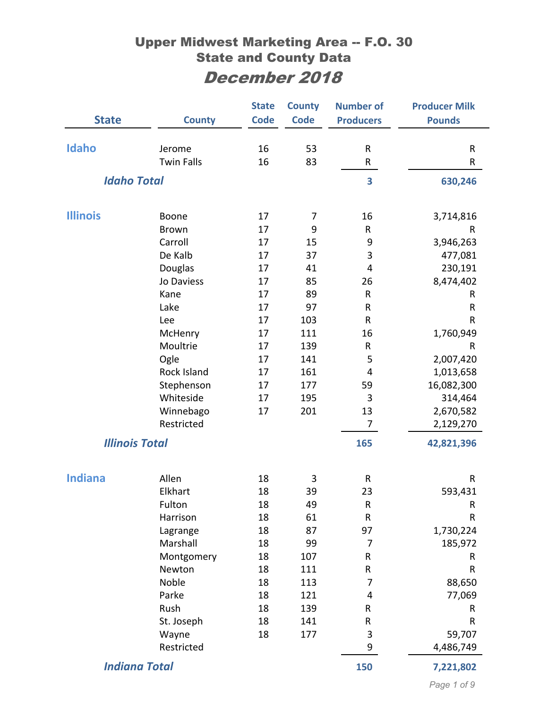|                       |                      | <b>State</b> | <b>County</b> | <b>Number of</b> | <b>Producer Milk</b> |
|-----------------------|----------------------|--------------|---------------|------------------|----------------------|
| <b>State</b>          | <b>County</b>        | <b>Code</b>  | <b>Code</b>   | <b>Producers</b> | <b>Pounds</b>        |
|                       |                      |              |               |                  |                      |
| Idaho                 | Jerome               | 16           | 53            | $\mathsf{R}$     | R                    |
|                       | <b>Twin Falls</b>    | 16           | 83            | R                | R                    |
| <b>Idaho Total</b>    |                      |              |               | 3                | 630,246              |
| <b>Illinois</b>       | Boone                | 17           | 7             | 16               | 3,714,816            |
|                       | <b>Brown</b>         | 17           | 9             | R                | R                    |
|                       | Carroll              | 17           | 15            | 9                | 3,946,263            |
|                       | De Kalb              | 17           | 37            | 3                | 477,081              |
|                       | Douglas              | 17           | 41            | 4                | 230,191              |
|                       | Jo Daviess           | 17           | 85            | 26               | 8,474,402            |
|                       | Kane                 | 17           | 89            | $\mathsf{R}$     | R                    |
|                       | Lake                 | 17           | 97            | R                | R                    |
|                       | Lee                  | 17           | 103           | R                | R                    |
|                       | McHenry              | 17           | 111           | 16               | 1,760,949            |
|                       | Moultrie             | 17           | 139           | R                | R                    |
|                       | Ogle                 | 17           | 141           | 5                | 2,007,420            |
|                       | Rock Island          | 17           | 161           | 4                | 1,013,658            |
|                       | Stephenson           | 17           | 177           | 59               | 16,082,300           |
|                       | Whiteside            | 17           | 195           | 3                | 314,464              |
|                       | Winnebago            | 17           | 201           | 13               | 2,670,582            |
|                       | Restricted           |              |               | 7                | 2,129,270            |
| <b>Illinois Total</b> |                      |              |               | 165              | 42,821,396           |
| <b>Indiana</b>        | Allen                | 18           | 3             | $\mathsf{R}$     | R                    |
|                       | Elkhart              | 18           | 39            | 23               | 593,431              |
|                       | Fulton               | 18           | 49            | R                | R                    |
|                       | Harrison             | 18           | 61            | ${\sf R}$        | ${\sf R}$            |
|                       | Lagrange             | 18           | 87            | 97               | 1,730,224            |
|                       | Marshall             | 18           | 99            | $\overline{7}$   | 185,972              |
|                       | Montgomery           | 18           | 107           | R                | R                    |
|                       | Newton               | 18           | 111           | R                | R                    |
|                       | Noble                | 18           | 113           | 7                | 88,650               |
|                       | Parke                | 18           | 121           | 4                | 77,069               |
|                       | Rush                 | 18           | 139           | R                | R                    |
|                       | St. Joseph           | 18           | 141           | R                | R                    |
|                       | Wayne                | 18           | 177           | 3                | 59,707               |
|                       | Restricted           |              |               | 9                | 4,486,749            |
|                       | <b>Indiana Total</b> |              |               | 150              | 7,221,802            |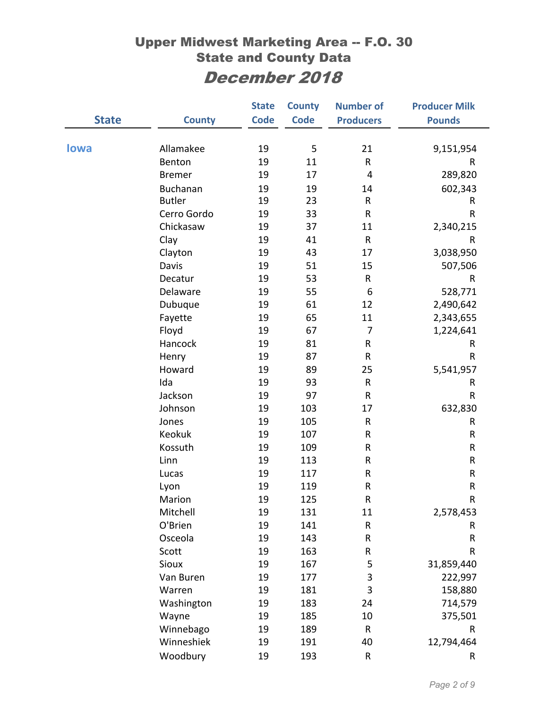|              |                 | <b>State</b> | <b>County</b> | <b>Number of</b>        | <b>Producer Milk</b> |
|--------------|-----------------|--------------|---------------|-------------------------|----------------------|
| <b>State</b> | <b>County</b>   | <b>Code</b>  | <b>Code</b>   | <b>Producers</b>        | <b>Pounds</b>        |
|              |                 |              |               |                         |                      |
| <b>lowa</b>  | Allamakee       | 19           | 5             | 21                      | 9,151,954            |
|              | Benton          | 19           | 11            | R                       | R                    |
|              | <b>Bremer</b>   | 19           | 17            | $\overline{\mathbf{4}}$ | 289,820              |
|              | <b>Buchanan</b> | 19           | 19            | 14                      | 602,343              |
|              | <b>Butler</b>   | 19           | 23            | ${\sf R}$               | R                    |
|              | Cerro Gordo     | 19           | 33            | $\sf R$                 | $\mathsf{R}$         |
|              | Chickasaw       | 19           | 37            | 11                      | 2,340,215            |
|              | Clay            | 19           | 41            | ${\sf R}$               | R                    |
|              | Clayton         | 19           | 43            | 17                      | 3,038,950            |
|              | Davis           | 19           | 51            | 15                      | 507,506              |
|              | Decatur         | 19           | 53            | R                       | R                    |
|              | Delaware        | 19           | 55            | $\boldsymbol{6}$        | 528,771              |
|              | Dubuque         | 19           | 61            | 12                      | 2,490,642            |
|              | Fayette         | 19           | 65            | 11                      | 2,343,655            |
|              | Floyd           | 19           | 67            | $\overline{7}$          | 1,224,641            |
|              | Hancock         | 19           | 81            | R                       | R                    |
|              | Henry           | 19           | 87            | ${\sf R}$               | R                    |
|              | Howard          | 19           | 89            | 25                      | 5,541,957            |
|              | Ida             | 19           | 93            | ${\sf R}$               | R                    |
|              | Jackson         | 19           | 97            | ${\sf R}$               | R                    |
|              | Johnson         | 19           | 103           | 17                      | 632,830              |
|              | Jones           | 19           | 105           | ${\sf R}$               | R                    |
|              | Keokuk          | 19           | 107           | R                       | ${\sf R}$            |
|              | Kossuth         | 19           | 109           | ${\sf R}$               | ${\sf R}$            |
|              | Linn            | 19           | 113           | ${\sf R}$               | ${\sf R}$            |
|              | Lucas           | 19           | 117           | ${\sf R}$               | ${\sf R}$            |
|              | Lyon            | 19           | 119           | ${\sf R}$               | ${\sf R}$            |
|              | Marion          | 19           | 125           | R                       | $\mathsf R$          |
|              | Mitchell        | 19           | 131           | 11                      | 2,578,453            |
|              | O'Brien         | 19           | 141           | R                       | R                    |
|              | Osceola         | 19           | 143           | R                       | ${\sf R}$            |
|              | Scott           | 19           | 163           | R                       | R                    |
|              | Sioux           | 19           | 167           | 5                       | 31,859,440           |
|              | Van Buren       | 19           | 177           | 3                       | 222,997              |
|              | Warren          | 19           | 181           | 3                       | 158,880              |
|              | Washington      | 19           | 183           | 24                      | 714,579              |
|              | Wayne           | 19           | 185           | 10                      | 375,501              |
|              | Winnebago       | 19           | 189           | ${\sf R}$               | R                    |
|              | Winneshiek      | 19           | 191           | 40                      | 12,794,464           |
|              | Woodbury        | 19           | 193           | R                       | R                    |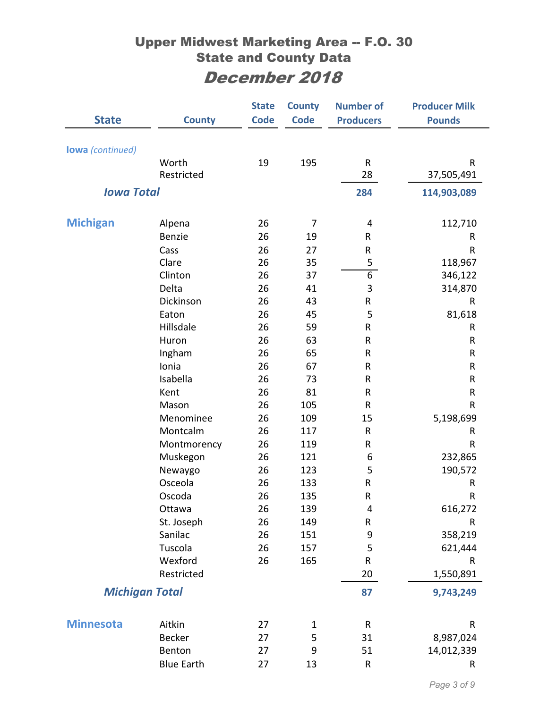| <b>State</b>            | <b>County</b>     | <b>State</b><br><b>Code</b> | <b>County</b><br><b>Code</b> | <b>Number of</b><br><b>Producers</b> | <b>Producer Milk</b><br><b>Pounds</b> |
|-------------------------|-------------------|-----------------------------|------------------------------|--------------------------------------|---------------------------------------|
|                         |                   |                             |                              |                                      |                                       |
| <b>lowa</b> (continued) |                   |                             |                              |                                      |                                       |
|                         | Worth             | 19                          | 195                          | ${\sf R}$                            | ${\sf R}$                             |
|                         | Restricted        |                             |                              | 28                                   | 37,505,491                            |
| <b>Iowa Total</b>       |                   |                             |                              | 284                                  | 114,903,089                           |
|                         |                   |                             |                              |                                      |                                       |
| <b>Michigan</b>         | Alpena            | 26                          | 7                            | 4                                    | 112,710                               |
|                         | Benzie            | 26                          | 19                           | R                                    | R                                     |
|                         | Cass              | 26                          | 27                           | ${\sf R}$                            | R                                     |
|                         | Clare             | 26                          | 35                           | 5                                    | 118,967                               |
|                         | Clinton           | 26                          | 37                           | $\overline{6}$                       | 346,122                               |
|                         | Delta             | 26                          | 41                           | 3                                    | 314,870                               |
|                         | Dickinson         | 26                          | 43                           | ${\sf R}$                            | R                                     |
|                         | Eaton             | 26                          | 45                           | 5                                    | 81,618                                |
|                         | Hillsdale         | 26                          | 59                           | ${\sf R}$                            | ${\sf R}$                             |
|                         | Huron             | 26                          | 63                           | R                                    | R                                     |
|                         | Ingham            | 26                          | 65                           | R                                    | R                                     |
|                         | Ionia             | 26                          | 67                           | ${\sf R}$                            | ${\sf R}$                             |
|                         | Isabella          | 26                          | 73                           | R                                    | ${\sf R}$                             |
|                         | Kent              | 26                          | 81                           | R                                    | ${\sf R}$                             |
|                         | Mason             | 26                          | 105                          | ${\sf R}$                            | $\mathsf{R}$                          |
|                         | Menominee         | 26                          | 109                          | 15                                   | 5,198,699                             |
|                         | Montcalm          | 26                          | 117                          | $\mathsf{R}$                         | R                                     |
|                         | Montmorency       | 26                          | 119                          | R                                    | R                                     |
|                         | Muskegon          | 26                          | 121                          | 6                                    | 232,865                               |
|                         | Newaygo           | 26                          | 123                          | 5                                    | 190,572                               |
|                         | Osceola           | 26                          | 133                          | ${\sf R}$                            | R                                     |
|                         | Oscoda            | 26                          | 135                          | $\mathsf{R}$                         | $\sf R$                               |
|                         | Ottawa            | 26                          | 139                          | $\overline{\mathbf{4}}$              | 616,272                               |
|                         | St. Joseph        | 26                          | 149                          | ${\sf R}$                            | R                                     |
|                         | Sanilac           | 26                          | 151                          | $\mathsf 9$                          | 358,219                               |
|                         | Tuscola           | 26                          | 157                          | 5                                    | 621,444                               |
|                         | Wexford           | 26                          | 165                          | ${\sf R}$                            | R                                     |
|                         | Restricted        |                             |                              | 20                                   | 1,550,891                             |
| <b>Michigan Total</b>   |                   |                             |                              | 87                                   | 9,743,249                             |
|                         |                   |                             |                              |                                      |                                       |
| <b>Minnesota</b>        | Aitkin            | 27                          | $\mathbf{1}$                 | ${\sf R}$                            | R                                     |
|                         | <b>Becker</b>     | 27                          | 5                            | 31                                   | 8,987,024                             |
|                         | Benton            | 27                          | 9                            | 51                                   | 14,012,339                            |
|                         | <b>Blue Earth</b> | 27                          | 13                           | ${\sf R}$                            | R                                     |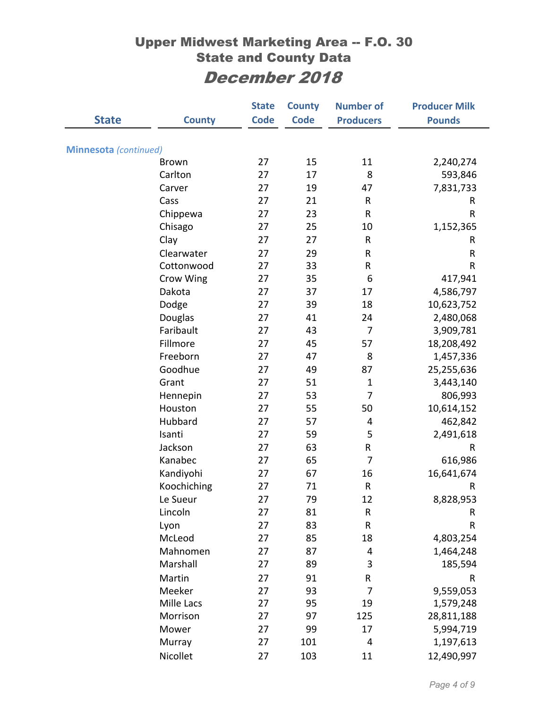|                              |               | <b>State</b> | <b>County</b> | <b>Number of</b> | <b>Producer Milk</b> |
|------------------------------|---------------|--------------|---------------|------------------|----------------------|
| <b>State</b>                 | <b>County</b> | <b>Code</b>  | <b>Code</b>   | <b>Producers</b> | <b>Pounds</b>        |
|                              |               |              |               |                  |                      |
| <b>Minnesota</b> (continued) |               |              |               |                  |                      |
|                              | <b>Brown</b>  | 27           | 15            | 11               | 2,240,274            |
|                              | Carlton       | 27           | 17            | 8                | 593,846              |
|                              | Carver        | 27           | 19            | 47               | 7,831,733            |
|                              | Cass          | 27           | 21            | R                | R                    |
|                              | Chippewa      | 27           | 23            | $\mathsf{R}$     | R                    |
|                              | Chisago       | 27           | 25            | 10               | 1,152,365            |
|                              | Clay          | 27           | 27            | ${\sf R}$        | R                    |
|                              | Clearwater    | 27           | 29            | R                | R                    |
|                              | Cottonwood    | 27           | 33            | R                | R                    |
|                              | Crow Wing     | 27           | 35            | 6                | 417,941              |
|                              | Dakota        | 27           | 37            | 17               | 4,586,797            |
|                              | Dodge         | 27           | 39            | 18               | 10,623,752           |
|                              | Douglas       | 27           | 41            | 24               | 2,480,068            |
|                              | Faribault     | 27           | 43            | 7                | 3,909,781            |
|                              | Fillmore      | 27           | 45            | 57               | 18,208,492           |
|                              | Freeborn      | 27           | 47            | 8                | 1,457,336            |
|                              | Goodhue       | 27           | 49            | 87               | 25,255,636           |
|                              | Grant         | 27           | 51            | $\mathbf{1}$     | 3,443,140            |
|                              | Hennepin      | 27           | 53            | 7                | 806,993              |
|                              | Houston       | 27           | 55            | 50               | 10,614,152           |
|                              | Hubbard       | 27           | 57            | 4                | 462,842              |
|                              | Isanti        | 27           | 59            | 5                | 2,491,618            |
|                              | Jackson       | 27           | 63            | R                | R                    |
|                              | Kanabec       | 27           | 65            | 7                | 616,986              |
|                              | Kandiyohi     | 27           | 67            | 16               | 16,641,674           |
|                              | Koochiching   | 27           | 71            | ${\sf R}$        | R                    |
|                              | Le Sueur      | 27           | 79            | 12               | 8,828,953            |
|                              | Lincoln       | 27           | 81            | R                | R                    |
|                              | Lyon          | 27           | 83            | ${\sf R}$        | R                    |
|                              | McLeod        | 27           | 85            | 18               | 4,803,254            |
|                              | Mahnomen      | 27           | 87            | 4                | 1,464,248            |
|                              | Marshall      | 27           | 89            | 3                | 185,594              |
|                              | Martin        | 27           | 91            | R                | ${\sf R}$            |
|                              | Meeker        | 27           | 93            | $\overline{7}$   | 9,559,053            |
|                              | Mille Lacs    | 27           | 95            | 19               | 1,579,248            |
|                              | Morrison      | 27           | 97            | 125              | 28,811,188           |
|                              | Mower         | 27           | 99            | 17               | 5,994,719            |
|                              | Murray        | 27           | 101           | 4                | 1,197,613            |
|                              | Nicollet      | 27           | 103           | 11               | 12,490,997           |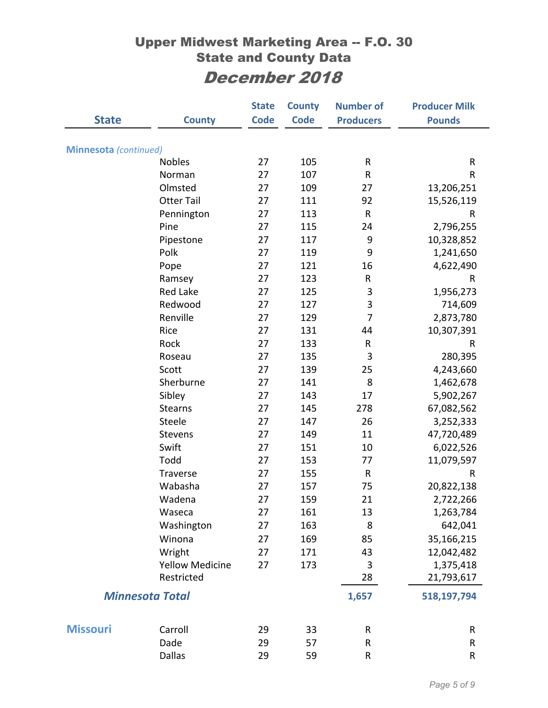|                              |                        | <b>State</b> | <b>County</b> | <b>Number of</b> | <b>Producer Milk</b> |
|------------------------------|------------------------|--------------|---------------|------------------|----------------------|
| <b>State</b>                 | <b>County</b>          | <b>Code</b>  | <b>Code</b>   | <b>Producers</b> | <b>Pounds</b>        |
|                              |                        |              |               |                  |                      |
| <b>Minnesota</b> (continued) |                        |              |               |                  |                      |
|                              | Nobles                 | 27           | 105           | R                | R                    |
|                              | Norman                 | 27           | 107           | R                | R                    |
|                              | Olmsted                | 27           | 109           | 27               | 13,206,251           |
|                              | <b>Otter Tail</b>      | 27           | 111           | 92               | 15,526,119           |
|                              | Pennington             | 27           | 113           | ${\sf R}$        | R                    |
|                              | Pine                   | 27           | 115           | 24               | 2,796,255            |
|                              | Pipestone              | 27           | 117           | 9                | 10,328,852           |
|                              | Polk                   | 27           | 119           | 9                | 1,241,650            |
|                              | Pope                   | 27           | 121           | 16               | 4,622,490            |
|                              | Ramsey                 | 27           | 123           | R                | R                    |
|                              | <b>Red Lake</b>        | 27           | 125           | 3                | 1,956,273            |
|                              | Redwood                | 27           | 127           | 3                | 714,609              |
|                              | Renville               | 27           | 129           | $\overline{7}$   | 2,873,780            |
|                              | Rice                   | 27           | 131           | 44               | 10,307,391           |
|                              | Rock                   | 27           | 133           | R                | R                    |
|                              | Roseau                 | 27           | 135           | 3                | 280,395              |
|                              | Scott                  | 27           | 139           | 25               | 4,243,660            |
|                              | Sherburne              | 27           | 141           | 8                | 1,462,678            |
|                              | Sibley                 | 27           | 143           | 17               | 5,902,267            |
|                              | <b>Stearns</b>         | 27           | 145           | 278              | 67,082,562           |
|                              | Steele                 | 27           | 147           | 26               | 3,252,333            |
|                              | Stevens                | 27           | 149           | 11               | 47,720,489           |
|                              | Swift                  | 27           | 151           | 10               | 6,022,526            |
|                              | Todd                   | 27           | 153           | 77               | 11,079,597           |
|                              | Traverse               | 27           | 155           | ${\sf R}$        | R                    |
|                              | Wabasha                | 27           | 157           | 75               | 20,822,138           |
|                              | Wadena                 | 27           | 159           | 21               | 2,722,266            |
|                              | Waseca                 | 27           | 161           | 13               | 1,263,784            |
|                              | Washington             | 27           | 163           | 8                | 642,041              |
|                              | Winona                 | 27           | 169           | 85               | 35,166,215           |
|                              | Wright                 | 27           | 171           | 43               | 12,042,482           |
|                              | <b>Yellow Medicine</b> | 27           | 173           | 3                | 1,375,418            |
|                              | Restricted             |              |               | 28               | 21,793,617           |
|                              | <b>Minnesota Total</b> |              |               | 1,657            | 518,197,794          |
| <b>Missouri</b>              | Carroll                | 29           | 33            | $\mathsf{R}$     | R                    |
|                              | Dade                   | 29           | 57            | R                | R                    |
|                              | <b>Dallas</b>          | 29           | 59            | ${\sf R}$        | R                    |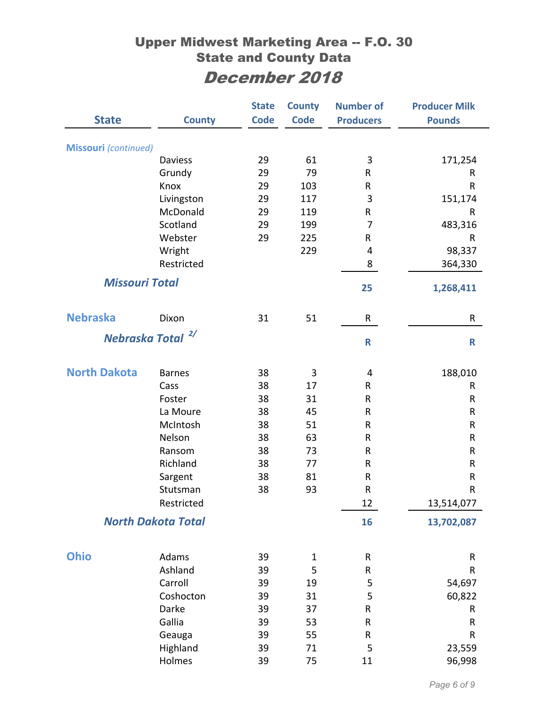|                             |                              | <b>State</b> | <b>County</b> | <b>Number of</b> | <b>Producer Milk</b> |
|-----------------------------|------------------------------|--------------|---------------|------------------|----------------------|
| <b>State</b>                | <b>County</b>                | <b>Code</b>  | <b>Code</b>   | <b>Producers</b> | <b>Pounds</b>        |
| <b>Missouri</b> (continued) |                              |              |               |                  |                      |
|                             | Daviess                      | 29           | 61            | 3                | 171,254              |
|                             | Grundy                       | 29           | 79            | R                | R                    |
|                             | Knox                         | 29           | 103           | R                | R                    |
|                             | Livingston                   | 29           | 117           | 3                | 151,174              |
|                             | McDonald                     | 29           | 119           | R                | R                    |
|                             | Scotland                     | 29           | 199           | 7                | 483,316              |
|                             | Webster                      | 29           | 225           | R                | $\sf R$              |
|                             | Wright                       |              | 229           | 4                | 98,337               |
|                             | Restricted                   |              |               | 8                | 364,330              |
| <b>Missouri Total</b>       |                              |              |               | 25               | 1,268,411            |
| <b>Nebraska</b>             |                              |              |               |                  |                      |
|                             | Dixon                        | 31           | 51            | R                | R                    |
|                             | Nebraska Total <sup>2/</sup> |              |               | $\mathbf R$      | $\mathsf R$          |
| <b>North Dakota</b>         | <b>Barnes</b>                | 38           | 3             | 4                | 188,010              |
|                             | Cass                         | 38           | 17            | R                | R                    |
|                             | Foster                       | 38           | 31            | R                | $\sf R$              |
|                             | La Moure                     | 38           | 45            | R                | ${\sf R}$            |
|                             | McIntosh                     | 38           | 51            | R                | ${\sf R}$            |
|                             | Nelson                       | 38           | 63            | R                | ${\sf R}$            |
|                             | Ransom                       | 38           | 73            | R                | ${\sf R}$            |
|                             | Richland                     | 38           | 77            | R                | ${\sf R}$            |
|                             | Sargent                      | 38           | 81            | R                | $\sf R$              |
|                             | Stutsman                     | 38           | 93            | $\sf R$          | $\mathsf R$          |
|                             | Restricted                   |              |               | 12               | 13,514,077           |
|                             | <b>North Dakota Total</b>    |              |               | 16               | 13,702,087           |
| <b>Ohio</b>                 | Adams                        | 39           | 1             | R                | R                    |
|                             | Ashland                      | 39           | 5             | ${\sf R}$        | ${\sf R}$            |
|                             | Carroll                      | 39           | 19            | 5                | 54,697               |
|                             | Coshocton                    | 39           | 31            | 5                | 60,822               |
|                             | Darke                        | 39           | 37            | ${\sf R}$        | R                    |
|                             | Gallia                       | 39           | 53            | ${\sf R}$        | ${\sf R}$            |
|                             | Geauga                       | 39           | 55            | ${\sf R}$        | ${\sf R}$            |
|                             | Highland                     | 39           | 71            | 5                | 23,559               |
|                             | Holmes                       | 39           | 75            | 11               | 96,998               |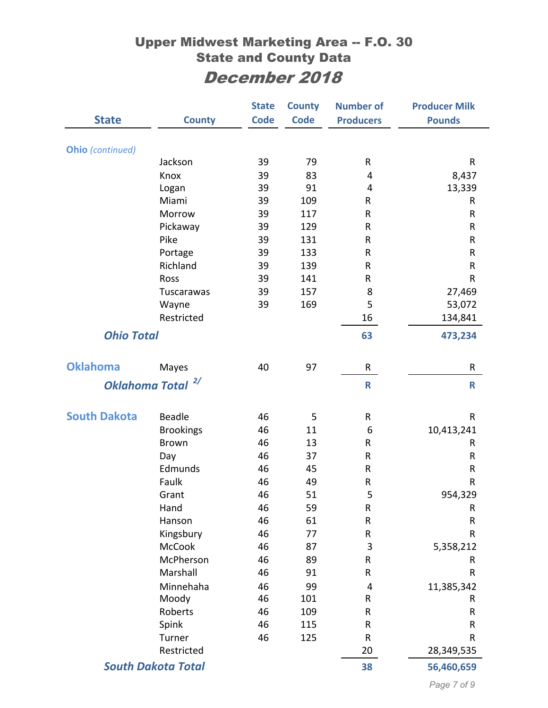|                           |                  | <b>State</b> | <b>County</b> | <b>Number of</b>        | <b>Producer Milk</b> |
|---------------------------|------------------|--------------|---------------|-------------------------|----------------------|
| <b>State</b>              | <b>County</b>    | <b>Code</b>  | <b>Code</b>   | <b>Producers</b>        | <b>Pounds</b>        |
|                           |                  |              |               |                         |                      |
| <b>Ohio</b> (continued)   |                  |              |               |                         |                      |
|                           | Jackson          | 39           | 79            | R                       | ${\sf R}$            |
|                           | Knox             | 39           | 83            | 4                       | 8,437                |
|                           | Logan            | 39           | 91            | 4                       | 13,339               |
|                           | Miami            | 39           | 109           | R                       | R                    |
|                           | Morrow           | 39           | 117           | R                       | $\mathsf R$          |
|                           | Pickaway         | 39           | 129           | R                       | ${\sf R}$            |
|                           | Pike             | 39           | 131           | R                       | R                    |
|                           | Portage          | 39           | 133           | ${\sf R}$               | ${\sf R}$            |
|                           | Richland         | 39           | 139           | R                       | R                    |
|                           | Ross             | 39           | 141           | R                       | $\mathsf{R}$         |
|                           | Tuscarawas       | 39           | 157           | 8                       | 27,469               |
|                           | Wayne            | 39           | 169           | 5                       | 53,072               |
|                           | Restricted       |              |               | 16                      | 134,841              |
| <b>Ohio Total</b>         |                  |              |               | 63                      | 473,234              |
|                           |                  |              |               |                         |                      |
| <b>Oklahoma</b>           | Mayes            | 40           | 97            | R                       | R                    |
| <b>Oklahoma Total</b>     | 2/               |              |               | $\mathsf{R}$            | $\mathsf R$          |
|                           |                  |              |               |                         |                      |
| <b>South Dakota</b>       | <b>Beadle</b>    | 46           | 5             | R                       | R                    |
|                           | <b>Brookings</b> | 46           | 11            | 6                       | 10,413,241           |
|                           | <b>Brown</b>     | 46           | 13            | R                       | R                    |
|                           | Day              | 46           | 37            | R                       | R                    |
|                           | Edmunds          | 46           | 45            | R                       | R                    |
|                           | Faulk            | 46           | 49            | R                       | R                    |
|                           | Grant            | 46           | 51            | 5                       | 954,329              |
|                           | Hand             | 46           | 59            | ${\sf R}$               | $\sf R$              |
|                           | Hanson           | 46           | 61            | ${\sf R}$               | ${\sf R}$            |
|                           | Kingsbury        | 46           | 77            | R                       | R                    |
|                           | <b>McCook</b>    | 46           | 87            | $\mathsf 3$             | 5,358,212            |
|                           | McPherson        | 46           | 89            | R                       | R                    |
|                           | Marshall         | 46           | 91            | R                       | R                    |
|                           | Minnehaha        | 46           | 99            | $\overline{\mathbf{4}}$ | 11,385,342           |
|                           | Moody            | 46           | 101           | ${\sf R}$               | R                    |
|                           | Roberts          | 46           | 109           | ${\sf R}$               | R                    |
|                           | Spink            | 46           | 115           | R                       | R                    |
|                           | Turner           | 46           | 125           | R                       | R                    |
|                           | Restricted       |              |               | 20                      | 28,349,535           |
| <b>South Dakota Total</b> |                  |              | 38            | 56,460,659              |                      |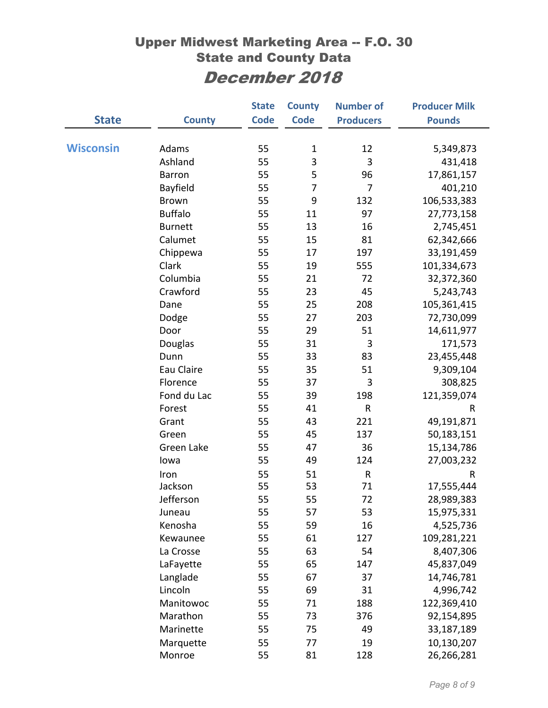|                  |                | <b>State</b> | <b>County</b> | <b>Number of</b> | <b>Producer Milk</b> |
|------------------|----------------|--------------|---------------|------------------|----------------------|
| <b>State</b>     | <b>County</b>  | <b>Code</b>  | <b>Code</b>   | <b>Producers</b> | <b>Pounds</b>        |
|                  |                |              |               |                  |                      |
| <b>Wisconsin</b> | Adams          | 55           | $\mathbf 1$   | 12               | 5,349,873            |
|                  | Ashland        | 55           | 3             | 3                | 431,418              |
|                  | <b>Barron</b>  | 55           | 5             | 96               | 17,861,157           |
|                  | Bayfield       | 55           | 7             | 7                | 401,210              |
|                  | <b>Brown</b>   | 55           | 9             | 132              | 106,533,383          |
|                  | <b>Buffalo</b> | 55           | 11            | 97               | 27,773,158           |
|                  | <b>Burnett</b> | 55           | 13            | 16               | 2,745,451            |
|                  | Calumet        | 55           | 15            | 81               | 62,342,666           |
|                  | Chippewa       | 55           | 17            | 197              | 33,191,459           |
|                  | Clark          | 55           | 19            | 555              | 101,334,673          |
|                  | Columbia       | 55           | 21            | 72               | 32,372,360           |
|                  | Crawford       | 55           | 23            | 45               | 5,243,743            |
|                  | Dane           | 55           | 25            | 208              | 105,361,415          |
|                  | Dodge          | 55           | 27            | 203              | 72,730,099           |
|                  | Door           | 55           | 29            | 51               | 14,611,977           |
|                  | Douglas        | 55           | 31            | 3                | 171,573              |
|                  | Dunn           | 55           | 33            | 83               | 23,455,448           |
|                  | Eau Claire     | 55           | 35            | 51               | 9,309,104            |
|                  | Florence       | 55           | 37            | 3                | 308,825              |
|                  | Fond du Lac    | 55           | 39            | 198              | 121,359,074          |
|                  | Forest         | 55           | 41            | R                | R                    |
|                  | Grant          | 55           | 43            | 221              | 49,191,871           |
|                  | Green          | 55           | 45            | 137              | 50,183,151           |
|                  | Green Lake     | 55           | 47            | 36               | 15,134,786           |
|                  | lowa           | 55           | 49            | 124              | 27,003,232           |
|                  | Iron           | 55           | 51            | ${\sf R}$        | ${\sf R}$            |
|                  | Jackson        | 55           | 53            | 71               | 17,555,444           |
|                  | Jefferson      | 55           | 55            | 72               | 28,989,383           |
|                  | Juneau         | 55           | 57            | 53               | 15,975,331           |
|                  | Kenosha        | 55           | 59            | 16               | 4,525,736            |
|                  | Kewaunee       | 55           | 61            | 127              | 109,281,221          |
|                  | La Crosse      | 55           | 63            | 54               | 8,407,306            |
|                  | LaFayette      | 55           | 65            | 147              | 45,837,049           |
|                  | Langlade       | 55           | 67            | 37               | 14,746,781           |
|                  | Lincoln        | 55           | 69            | 31               | 4,996,742            |
|                  | Manitowoc      | 55           | 71            | 188              | 122,369,410          |
|                  | Marathon       | 55           | 73            | 376              | 92,154,895           |
|                  | Marinette      | 55           | 75            | 49               | 33,187,189           |
|                  | Marquette      | 55           | 77            | 19               | 10,130,207           |
|                  | Monroe         | 55           | 81            | 128              | 26,266,281           |